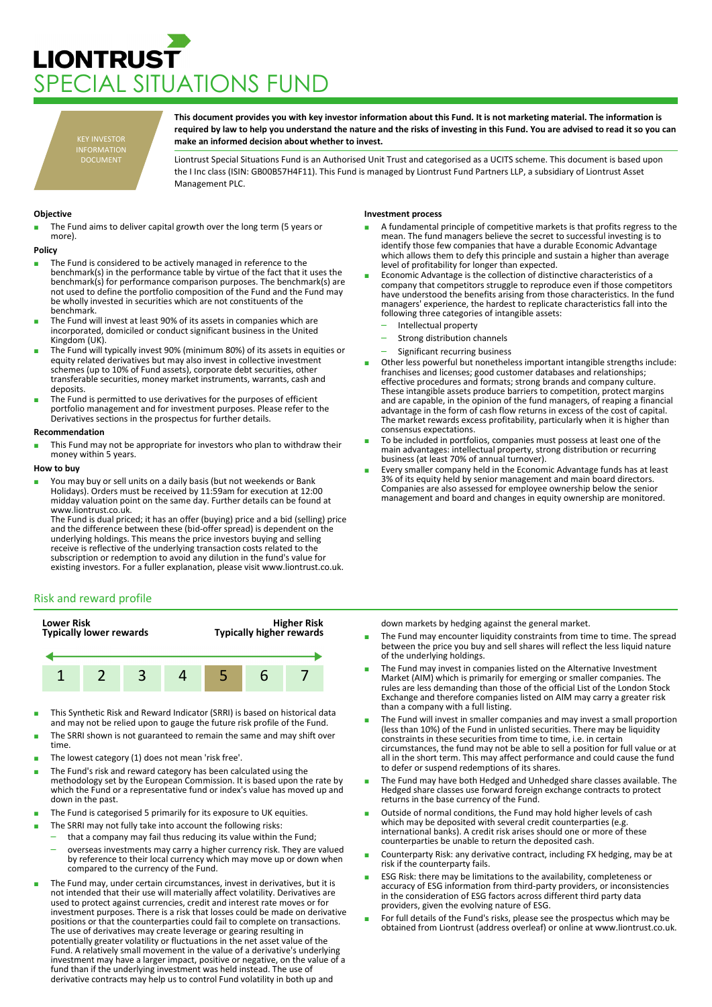# **LIONTRUST** PECIAL SITUATIONS FUND

KEY INVESTOR INFORMATION DOCUMENT

**This document provides you with key investor information about this Fund. It is not marketing material. The information is required by law to help you understand the nature and the risks of investing in this Fund. You are advised to read it so you can make an informed decision about whether to invest.**

Liontrust Special Situations Fund is an Authorised Unit Trust and categorised as a UCITS scheme. This document is based upon the I Inc class (ISIN: GB00B57H4F11). This Fund is managed by Liontrust Fund Partners LLP, a subsidiary of Liontrust Asset Management PLC.

# **Objective**

The Fund aims to deliver capital growth over the long term (5 years or more).

#### **Policy**

- The Fund is considered to be actively managed in reference to the benchmark(s) in the performance table by virtue of the fact that it uses the benchmark(s) for performance comparison purposes. The benchmark(s) are not used to define the portfolio composition of the Fund and the Fund may be wholly invested in securities which are not constituents of the benchmark.
- The Fund will invest at least 90% of its assets in companies which are incorporated, domiciled or conduct significant business in the United Kingdom (UK).
- The Fund will typically invest 90% (minimum 80%) of its assets in equities or equity related derivatives but may also invest in collective investment schemes (up to 10% of Fund assets), corporate debt securities, other transferable securities, money market instruments, warrants, cash and deposits.
- The Fund is permitted to use derivatives for the purposes of efficient portfolio management and for investment purposes. Please refer to the Derivatives sections in the prospectus for further details.

#### **Recommendation**

This Fund may not be appropriate for investors who plan to withdraw their money within 5 years.

### **How to buy**

You may buy or sell units on a daily basis (but not weekends or Bank Holidays). Orders must be received by 11:59am for execution at 12:00 midday valuation point on the same day. Further details can be found at www.liontrust.co.uk.

The Fund is dual priced; it has an offer (buying) price and a bid (selling) price and the difference between these (bid-offer spread) is dependent on the underlying holdings. This means the price investors buying and selling receive is reflective of the underlying transaction costs related to the subscription or redemption to avoid any dilution in the fund's value for existing investors. For a fuller explanation, please visit www.liontrust.co.uk.

# Risk and reward profile



- This Synthetic Risk and Reward Indicator (SRRI) is based on historical data and may not be relied upon to gauge the future risk profile of the Fund.
- The SRRI shown is not guaranteed to remain the same and may shift over time.
- The lowest category (1) does not mean 'risk free'.
- The Fund's risk and reward category has been calculated using the methodology set by the European Commission. It is based upon the rate by which the Fund or a representative fund or index's value has moved up and down in the past.
- The Fund is categorised 5 primarily for its exposure to UK equities.
- The SRRI may not fully take into account the following risks:

compared to the currency of the Fund.

- that a company may fail thus reducing its value within the Fund; – overseas investments may carry a higher currency risk. They are valued by reference to their local currency which may move up or down when
- The Fund may, under certain circumstances, invest in derivatives, but it is not intended that their use will materially affect volatility. Derivatives are used to protect against currencies, credit and interest rate moves or for investment purposes. There is a risk that losses could be made on derivative positions or that the counterparties could fail to complete on transactions. The use of derivatives may create leverage or gearing resulting in potentially greater volatility or fluctuations in the net asset value of the Fund. A relatively small movement in the value of a derivative's underlying investment may have a larger impact, positive or negative, on the value of a fund than if the underlying investment was held instead. The use of derivative contracts may help us to control Fund volatility in both up and

## **Investment process**

- A fundamental principle of competitive markets is that profits regress to the mean. The fund managers believe the secret to successful investing is to identify those few companies that have a durable Economic Advantage which allows them to defy this principle and sustain a higher than average level of profitability for longer than expected.
- Economic Advantage is the collection of distinctive characteristics of a company that competitors struggle to reproduce even if those competitors have understood the benefits arising from those characteristics. In the fund managers' experience, the hardest to replicate characteristics fall into the following three categories of intangible assets:
	- Intellectual property
	- Strong distribution channels
	- Significant recurring business
- Other less powerful but nonetheless important intangible strengths include: franchises and licenses; good customer databases and relationships; effective procedures and formats; strong brands and company culture. These intangible assets produce barriers to competition, protect margins and are capable, in the opinion of the fund managers, of reaping a financial advantage in the form of cash flow returns in excess of the cost of capital. The market rewards excess profitability, particularly when it is higher than consensus expectations.
- To be included in portfolios, companies must possess at least one of the main advantages: intellectual property, strong distribution or recurring business (at least 70% of annual turnover).
- Every smaller company held in the Economic Advantage funds has at least 3% of its equity held by senior management and main board directors. Companies are also assessed for employee ownership below the senior management and board and changes in equity ownership are monitored.

down markets by hedging against the general market.

- The Fund may encounter liquidity constraints from time to time. The spread between the price you buy and sell shares will reflect the less liquid nature of the underlying holdings.
- The Fund may invest in companies listed on the Alternative Investment Market (AIM) which is primarily for emerging or smaller companies. The rules are less demanding than those of the official List of the London Stock Exchange and therefore companies listed on AIM may carry a greater risk than a company with a full listing.
- The Fund will invest in smaller companies and may invest a small proportion (less than 10%) of the Fund in unlisted securities. There may be liquidity constraints in these securities from time to time, i.e. in certain circumstances, the fund may not be able to sell a position for full value or at all in the short term. This may affect performance and could cause the fund to defer or suspend redemptions of its shares.
- The Fund may have both Hedged and Unhedged share classes available. The Hedged share classes use forward foreign exchange contracts to protect returns in the base currency of the Fund.
- Outside of normal conditions, the Fund may hold higher levels of cash which may be deposited with several credit counterparties (e.g. international banks). A credit risk arises should one or more of these counterparties be unable to return the deposited cash.
- Counterparty Risk: any derivative contract, including FX hedging, may be at risk if the counterparty fails.
- ESG Risk: there may be limitations to the availability, completeness or accuracy of ESG information from third-party providers, or inconsistencies in the consideration of ESG factors across different third party data providers, given the evolving nature of ESG.
- For full details of the Fund's risks, please see the prospectus which may be obtained from Liontrust (address overleaf) or online at www.liontrust.co.uk.